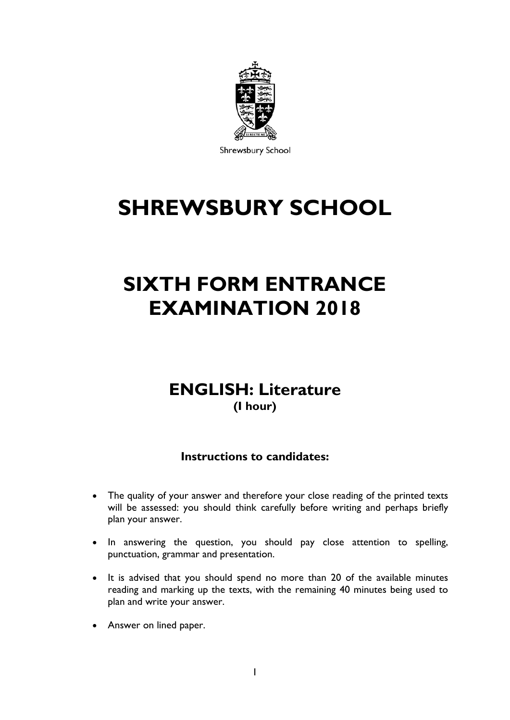

Shrewsbury School

# **SHREWSBURY SCHOOL**

# **SIXTH FORM ENTRANCE EXAMINATION 2018**

## **ENGLISH: Literature (I hour)**

## **Instructions to candidates:**

- The quality of your answer and therefore your close reading of the printed texts will be assessed: you should think carefully before writing and perhaps briefly plan your answer.
- In answering the question, you should pay close attention to spelling, punctuation, grammar and presentation.
- It is advised that you should spend no more than 20 of the available minutes reading and marking up the texts, with the remaining 40 minutes being used to plan and write your answer.
- Answer on lined paper.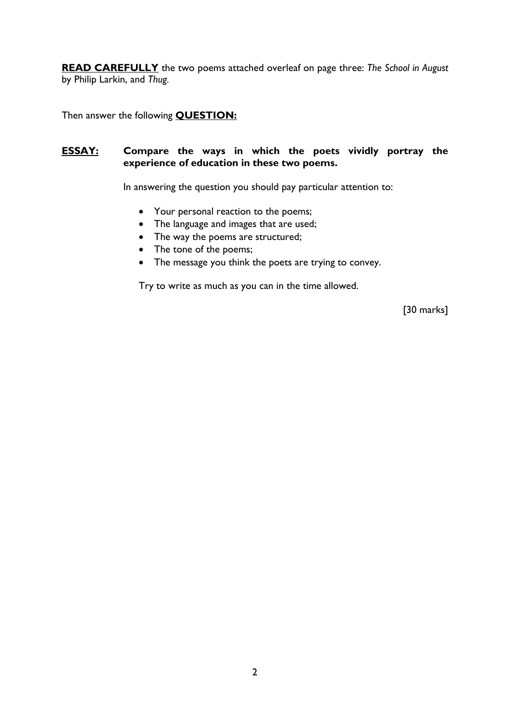**READ CAREFULLY** the two poems attached overleaf on page three: *The School in August* by Philip Larkin, and *Thug.*

Then answer the following **QUESTION:**

### **ESSAY: Compare the ways in which the poets vividly portray the experience of education in these two poems.**

In answering the question you should pay particular attention to:

- Your personal reaction to the poems;
- The language and images that are used;
- The way the poems are structured;
- The tone of the poems;
- The message you think the poets are trying to convey.

Try to write as much as you can in the time allowed.

[30 marks]